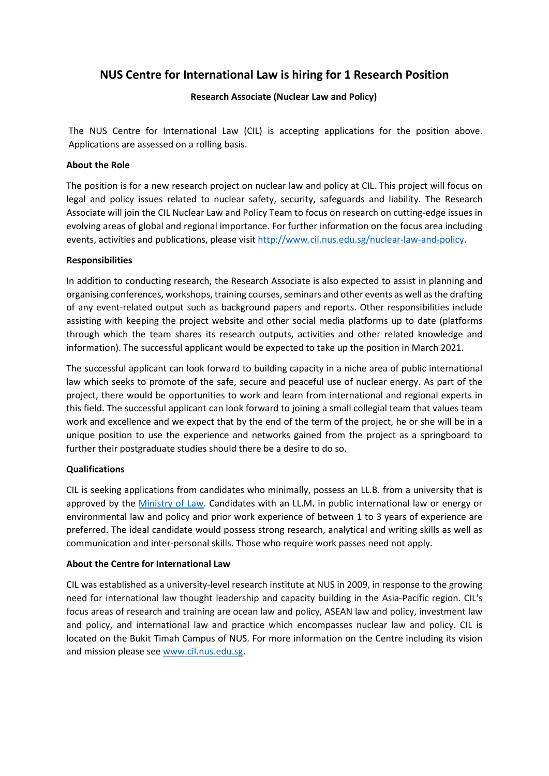# **NUS Centre for International Law is hiring for 1 Research Position**

## **Research Associate (Nuclear Law and Policy)**

The NUS Centre for International Law (CIL) is accepting applications for the position above. Applications are assessed on a rolling basis.

### **About the Role**

The position is for a new research project on nuclear law and policy at CIL. This project will focus on legal and policy issues related to nuclear safety, security, safeguards and liability. The Research Associate will join the CIL Nuclear Law and Policy Team to focus on research on cutting-edge issues in evolving areas of global and regional importance. For further information on the focus area including events, activities and publications, please visi[t http://www.cil.nus.edu.sg/nuclear-law-and-policy.](http://www.cil.nus.edu.sg/nuclear-law-and-policy)

### **Responsibilities**

In addition to conducting research, the Research Associate is also expected to assist in planning and organising conferences, workshops, training courses, seminars and other events as well as the drafting of any event-related output such as background papers and reports. Other responsibilities include assisting with keeping the project website and other social media platforms up to date (platforms through which the team shares its research outputs, activities and other related knowledge and information). The successful applicant would be expected to take up the position in March 2021.

The successful applicant can look forward to building capacity in a niche area of public international law which seeks to promote of the safe, secure and peaceful use of nuclear energy. As part of the project, there would be opportunities to work and learn from international and regional experts in this field. The successful applicant can look forward to joining a small collegial team that values team work and excellence and we expect that by the end of the term of the project, he or she will be in a unique position to use the experience and networks gained from the project as a springboard to further their postgraduate studies should there be a desire to do so.

## **Qualifications**

CIL is seeking applications from candidates who minimally, possess an LL.B. from a university that is approved by the [Ministry of Law.](https://www.sile.edu.sg/qualified-person) Candidates with an LL.M. in public international law or energy or environmental law and policy and prior work experience of between 1 to 3 years of experience are preferred. The ideal candidate would possess strong research, analytical and writing skills as well as communication and inter-personal skills. Those who require work passes need not apply.

## **About the Centre for International Law**

CIL was established as a university-level research institute at NUS in 2009, in response to the growing need for international law thought leadership and capacity building in the Asia-Pacific region. CIL's focus areas of research and training are ocean law and policy, ASEAN law and policy, investment law and policy, and international law and practice which encompasses nuclear law and policy. CIL is located on the Bukit Timah Campus of NUS. For more information on the Centre including its vision and mission please see [www.cil.nus.edu.sg.](http://www.cil.nus.edu.sg/nuclear-law-and-policy)